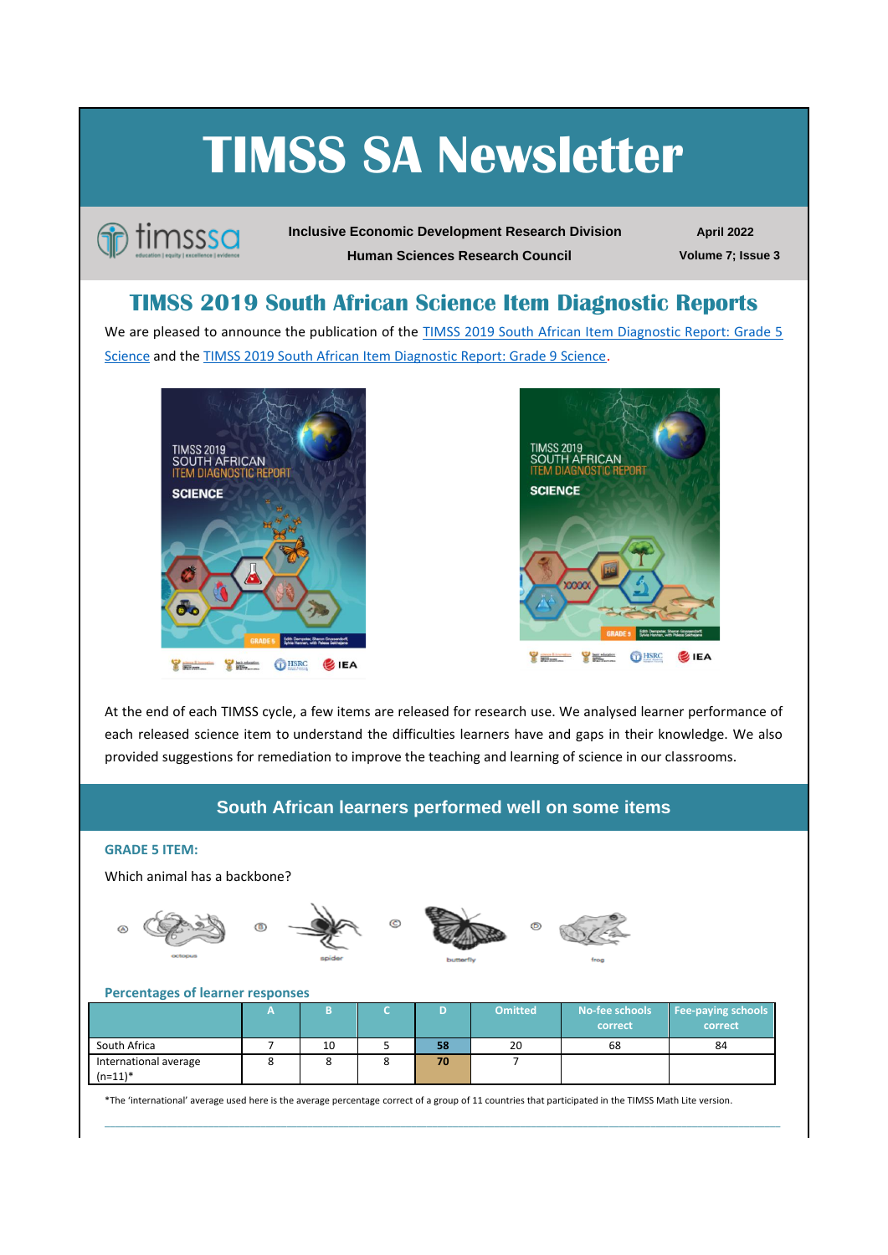# **TIMSS SA Newsletter**



**Inclusive Economic Development Research Division Human Sciences Research Council**

**April 2022 Volume 7; Issue 3**

## **TIMSS 2019 South African Science Item Diagnostic Reports**

We are pleased to announce the publication of the **TIMSS 2019 South African Item Diagnostic Report: Grade 5** [Science](https://www.timss-sa.org/publication/timss-2019-south-african-item-diagnostic-report-grade-5-science) and th[e TIMSS 2019 South African Item Diagnostic Report: Grade 9 Science](https://www.timss-sa.org/publication/timss-2019-south-african-item-diagnostic-report-grade-9-science).





At the end of each TIMSS cycle, a few items are released for research use. We analysed learner performance of each released science item to understand the difficulties learners have and gaps in their knowledge. We also provided suggestions for remediation to improve the teaching and learning of science in our classrooms.

## **South African learners performed well on some items**

#### **GRADE 5 ITEM:**

Which animal has a backbone?







## **Percentages of learner responses**

|                                     | -       |    | D  | <b>Omitted</b> | No-fee schools<br>correct | <b>Fee-paying schools</b><br>correct |
|-------------------------------------|---------|----|----|----------------|---------------------------|--------------------------------------|
| South Africa                        |         | 10 | 58 | 20             | 68                        | 84                                   |
| International average<br>$(n=11)^*$ | $\circ$ |    | 70 |                |                           |                                      |

\_\_\_\_\_\_\_\_\_\_\_\_\_\_\_\_\_\_\_\_\_\_\_\_\_\_\_\_\_\_\_\_\_\_\_\_\_\_\_\_\_\_\_\_\_\_\_\_\_\_\_\_\_\_\_\_\_\_\_\_\_\_\_\_\_\_\_\_\_\_\_\_\_\_\_\_\_\_\_\_\_\_\_\_\_\_\_\_\_\_\_\_\_\_\_\_\_\_\_\_\_\_\_\_\_\_\_\_\_\_\_\_\_\_\_\_\_\_\_\_\_\_\_\_\_\_\_\_\_\_

\*The 'international' average used here is the average percentage correct of a group of 11 countries that participated in the TIMSS Math Lite version.